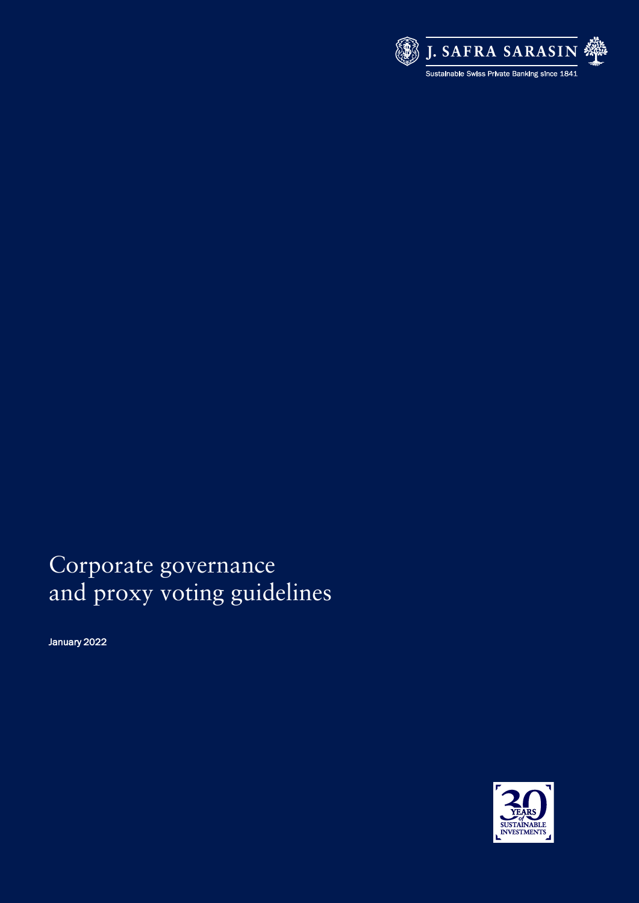

# Corporate governance and proxy voting guidelines

January 2022

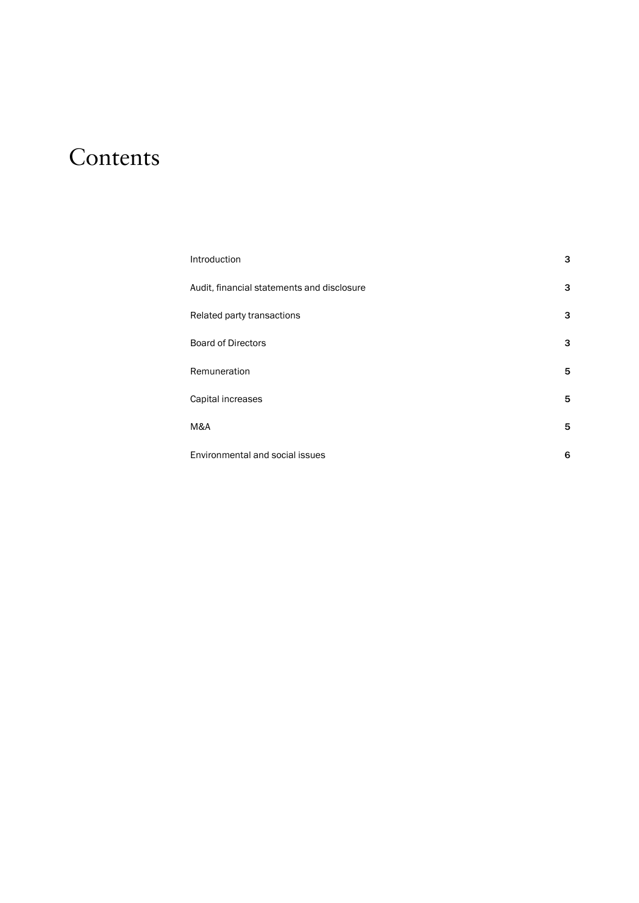# **Contents**

| Introduction                               | 3 |
|--------------------------------------------|---|
| Audit, financial statements and disclosure | 3 |
| Related party transactions                 | 3 |
| <b>Board of Directors</b>                  | 3 |
| Remuneration                               | 5 |
| Capital increases                          | 5 |
| M&A                                        | 5 |
| Environmental and social issues            | 6 |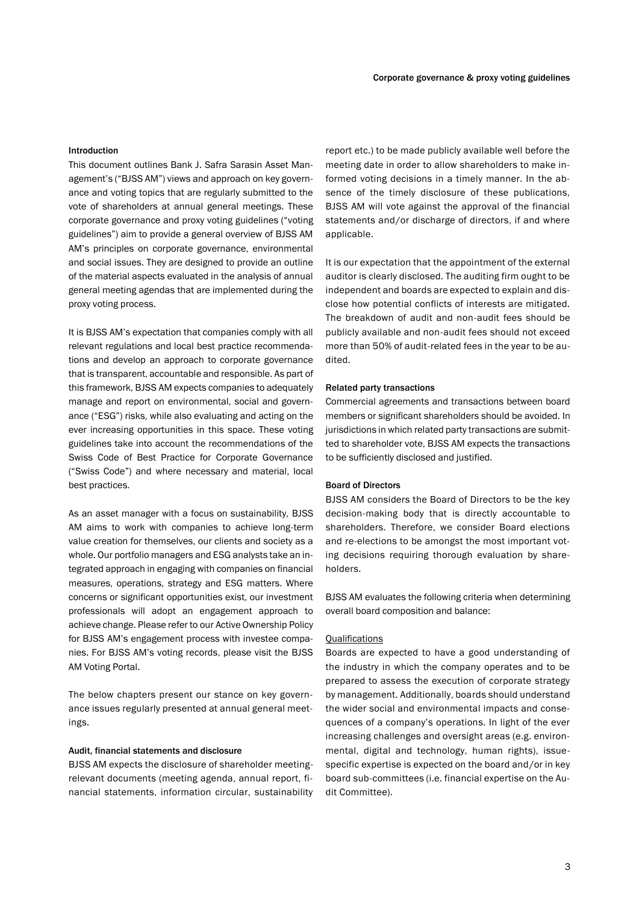#### <span id="page-4-0"></span>Introduction

This document outlines Bank J. Safra Sarasin Asset Management's ("BJSS AM") views and approach on key governance and voting topics that are regularly submitted to the vote of shareholders at annual general meetings. These corporate governance and proxy voting guidelines ("voting guidelines") aim to provide a general overview of BJSS AM AM's principles on corporate governance, environmental and social issues. They are designed to provide an outline of the material aspects evaluated in the analysis of annual general meeting agendas that are implemented during the proxy voting process.

It is BJSS AM's expectation that companies comply with all relevant regulations and local best practice recommendations and develop an approach to corporate governance that is transparent, accountable and responsible. As part of this framework, BJSS AM expects companies to adequately manage and report on environmental, social and governance ("ESG") risks, while also evaluating and acting on the ever increasing opportunities in this space. These voting guidelines take into account the recommendations of the Swiss Code of Best Practice for Corporate Governance ("Swiss Code") and where necessary and material, local best practices.

As an asset manager with a focus on sustainability, BJSS AM aims to work with companies to achieve long-term value creation for themselves, our clients and society as a whole. Our portfolio managers and ESG analysts take an integrated approach in engaging with companies on financial measures, operations, strategy and ESG matters. Where concerns or significant opportunities exist, our investment professionals will adopt an engagement approach to achieve change. Please refer to our Active Ownership Policy for BJSS AM's engagement process with investee companies. For BJSS AM's voting records, please visit the BJSS AM Voting Portal.

The below chapters present our stance on key governance issues regularly presented at annual general meetings.

## <span id="page-4-1"></span>Audit, financial statements and disclosure

BJSS AM expects the disclosure of shareholder meetingrelevant documents (meeting agenda, annual report, financial statements, information circular, sustainability

report etc.) to be made publicly available well before the meeting date in order to allow shareholders to make informed voting decisions in a timely manner. In the absence of the timely disclosure of these publications, BJSS AM will vote against the approval of the financial statements and/or discharge of directors, if and where applicable.

It is our expectation that the appointment of the external auditor is clearly disclosed. The auditing firm ought to be independent and boards are expected to explain and disclose how potential conflicts of interests are mitigated. The breakdown of audit and non-audit fees should be publicly available and non-audit fees should not exceed more than 50% of audit-related fees in the year to be audited.

#### <span id="page-4-2"></span>Related party transactions

Commercial agreements and transactions between board members or significant shareholders should be avoided. In jurisdictions in which related party transactions are submitted to shareholder vote, BJSS AM expects the transactions to be sufficiently disclosed and justified.

## <span id="page-4-3"></span>Board of Directors

BJSS AM considers the Board of Directors to be the key decision-making body that is directly accountable to shareholders. Therefore, we consider Board elections and re-elections to be amongst the most important voting decisions requiring thorough evaluation by shareholders.

BJSS AM evaluates the following criteria when determining overall board composition and balance:

## **Qualifications**

Boards are expected to have a good understanding of the industry in which the company operates and to be prepared to assess the execution of corporate strategy by management. Additionally, boards should understand the wider social and environmental impacts and consequences of a company's operations. In light of the ever increasing challenges and oversight areas (e.g. environmental, digital and technology, human rights), issuespecific expertise is expected on the board and/or in key board sub-committees (i.e. financial expertise on the Audit Committee).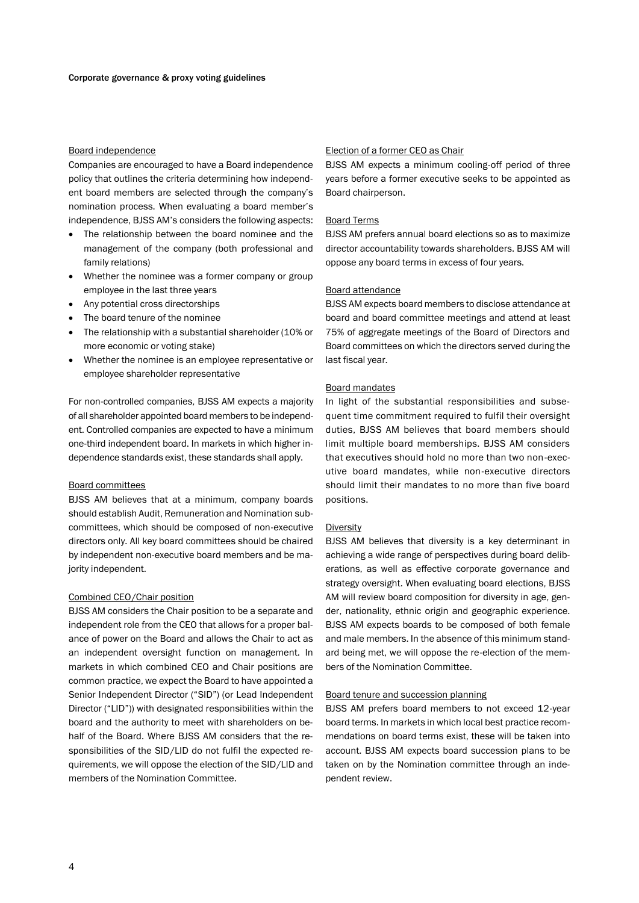## Board independence

Companies are encouraged to have a Board independence policy that outlines the criteria determining how independent board members are selected through the company's nomination process. When evaluating a board member's independence, BJSS AM's considers the following aspects:

- The relationship between the board nominee and the management of the company (both professional and family relations)
- Whether the nominee was a former company or group employee in the last three years
- Any potential cross directorships
- The board tenure of the nominee
- The relationship with a substantial shareholder (10% or more economic or voting stake)
- Whether the nominee is an employee representative or employee shareholder representative

For non-controlled companies, BJSS AM expects a majority of all shareholder appointed board members to be independent. Controlled companies are expected to have a minimum one-third independent board. In markets in which higher independence standards exist, these standards shall apply.

## Board committees

BJSS AM believes that at a minimum, company boards should establish Audit, Remuneration and Nomination subcommittees, which should be composed of non-executive directors only. All key board committees should be chaired by independent non-executive board members and be majority independent.

#### Combined CEO/Chair position

BJSS AM considers the Chair position to be a separate and independent role from the CEO that allows for a proper balance of power on the Board and allows the Chair to act as an independent oversight function on management. In markets in which combined CEO and Chair positions are common practice, we expect the Board to have appointed a Senior Independent Director ("SID") (or Lead Independent Director ("LID")) with designated responsibilities within the board and the authority to meet with shareholders on behalf of the Board. Where BJSS AM considers that the responsibilities of the SID/LID do not fulfil the expected requirements, we will oppose the election of the SID/LID and members of the Nomination Committee.

## Election of a former CEO as Chair

BJSS AM expects a minimum cooling-off period of three years before a former executive seeks to be appointed as Board chairperson.

#### Board Terms

BJSS AM prefers annual board elections so as to maximize director accountability towards shareholders. BJSS AM will oppose any board terms in excess of four years.

#### Board attendance

BJSS AM expects board members to disclose attendance at board and board committee meetings and attend at least 75% of aggregate meetings of the Board of Directors and Board committees on which the directors served during the last fiscal year.

#### Board mandates

In light of the substantial responsibilities and subsequent time commitment required to fulfil their oversight duties, BJSS AM believes that board members should limit multiple board memberships. BJSS AM considers that executives should hold no more than two non-executive board mandates, while non-executive directors should limit their mandates to no more than five board positions.

## Diversity

BJSS AM believes that diversity is a key determinant in achieving a wide range of perspectives during board deliberations, as well as effective corporate governance and strategy oversight. When evaluating board elections, BJSS AM will review board composition for diversity in age, gender, nationality, ethnic origin and geographic experience. BJSS AM expects boards to be composed of both female and male members. In the absence of this minimum standard being met, we will oppose the re-election of the members of the Nomination Committee.

#### Board tenure and succession planning

BJSS AM prefers board members to not exceed 12-year board terms. In markets in which local best practice recommendations on board terms exist, these will be taken into account. BJSS AM expects board succession plans to be taken on by the Nomination committee through an independent review.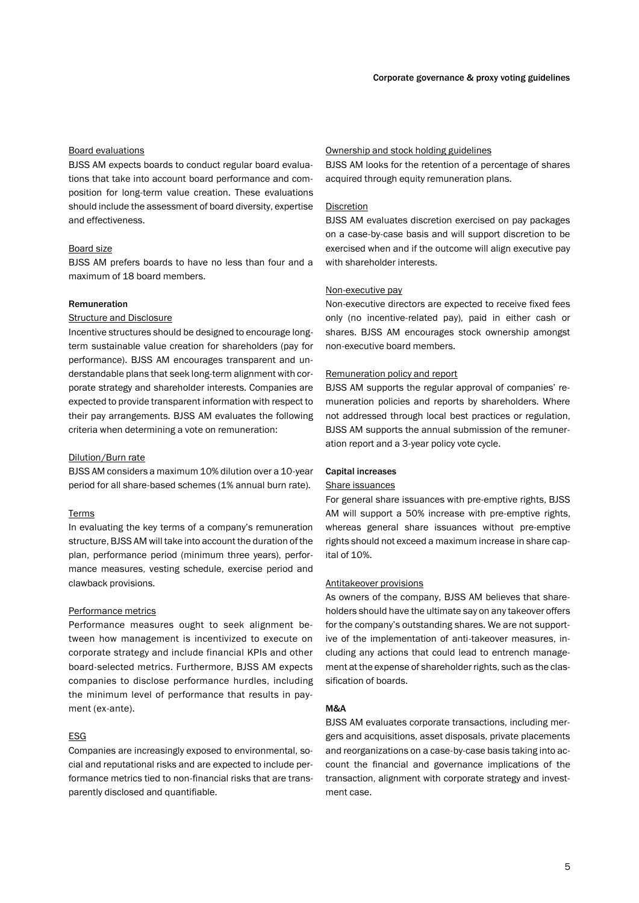## Board evaluations

BJSS AM expects boards to conduct regular board evaluations that take into account board performance and composition for long-term value creation. These evaluations should include the assessment of board diversity, expertise and effectiveness.

#### Board size

BJSS AM prefers boards to have no less than four and a maximum of 18 board members.

#### <span id="page-6-0"></span>Remuneration

#### Structure and Disclosure

Incentive structures should be designed to encourage longterm sustainable value creation for shareholders (pay for performance). BJSS AM encourages transparent and understandable plans that seek long-term alignment with corporate strategy and shareholder interests. Companies are expected to provide transparent information with respect to their pay arrangements. BJSS AM evaluates the following criteria when determining a vote on remuneration:

#### Dilution/Burn rate

BJSS AM considers a maximum 10% dilution over a 10-year period for all share-based schemes (1% annual burn rate).

## Terms

In evaluating the key terms of a company's remuneration structure, BJSS AM will take into account the duration of the plan, performance period (minimum three years), performance measures, vesting schedule, exercise period and clawback provisions.

#### Performance metrics

Performance measures ought to seek alignment between how management is incentivized to execute on corporate strategy and include financial KPIs and other board-selected metrics. Furthermore, BJSS AM expects companies to disclose performance hurdles, including the minimum level of performance that results in payment (ex-ante).

## ESG

Companies are increasingly exposed to environmental, social and reputational risks and are expected to include performance metrics tied to non-financial risks that are transparently disclosed and quantifiable.

## Ownership and stock holding guidelines

BJSS AM looks for the retention of a percentage of shares acquired through equity remuneration plans.

## Discretion

BJSS AM evaluates discretion exercised on pay packages on a case-by-case basis and will support discretion to be exercised when and if the outcome will align executive pay with shareholder interests.

#### Non-executive pay

Non-executive directors are expected to receive fixed fees only (no incentive-related pay), paid in either cash or shares. BJSS AM encourages stock ownership amongst non-executive board members.

## Remuneration policy and report

BJSS AM supports the regular approval of companies' remuneration policies and reports by shareholders. Where not addressed through local best practices or regulation, BJSS AM supports the annual submission of the remuneration report and a 3-year policy vote cycle.

#### <span id="page-6-1"></span>Capital increases

## Share issuances

For general share issuances with pre-emptive rights, BJSS AM will support a 50% increase with pre-emptive rights, whereas general share issuances without pre-emptive rights should not exceed a maximum increase in share capital of 10%.

#### Antitakeover provisions

As owners of the company, BJSS AM believes that shareholders should have the ultimate say on any takeover offers for the company's outstanding shares. We are not supportive of the implementation of anti-takeover measures, including any actions that could lead to entrench management at the expense of shareholder rights, such as the classification of boards.

## <span id="page-6-2"></span>M&A

BJSS AM evaluates corporate transactions, including mergers and acquisitions, asset disposals, private placements and reorganizations on a case-by-case basis taking into account the financial and governance implications of the transaction, alignment with corporate strategy and investment case.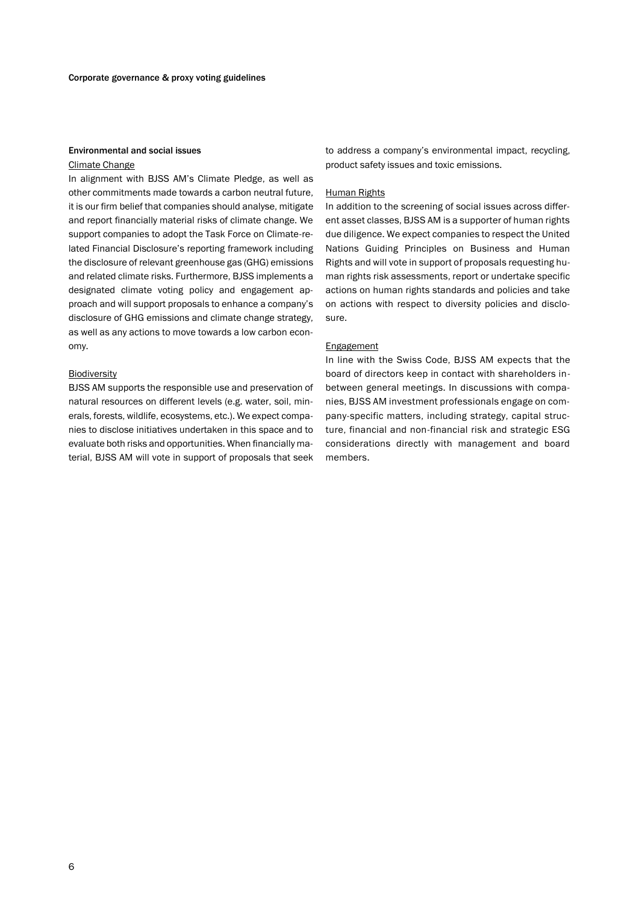## <span id="page-7-0"></span>Environmental and social issues

#### Climate Change

In alignment with BJSS AM's Climate Pledge, as well as other commitments made towards a carbon neutral future, it is our firm belief that companies should analyse, mitigate and report financially material risks of climate change. We support companies to adopt the Task Force on Climate-related Financial Disclosure's reporting framework including the disclosure of relevant greenhouse gas (GHG) emissions and related climate risks. Furthermore, BJSS implements a designated climate voting policy and engagement approach and will support proposals to enhance a company's disclosure of GHG emissions and climate change strategy, as well as any actions to move towards a low carbon economy.

## Biodiversity

BJSS AM supports the responsible use and preservation of natural resources on different levels (e.g. water, soil, minerals, forests, wildlife, ecosystems, etc.). We expect companies to disclose initiatives undertaken in this space and to evaluate both risks and opportunities. When financially material, BJSS AM will vote in support of proposals that seek to address a company's environmental impact, recycling, product safety issues and toxic emissions.

## Human Rights

In addition to the screening of social issues across different asset classes, BJSS AM is a supporter of human rights due diligence. We expect companies to respect the United Nations Guiding Principles on Business and Human Rights and will vote in support of proposals requesting human rights risk assessments, report or undertake specific actions on human rights standards and policies and take on actions with respect to diversity policies and disclosure.

## **Engagement**

In line with the Swiss Code, BJSS AM expects that the board of directors keep in contact with shareholders inbetween general meetings. In discussions with companies, BJSS AM investment professionals engage on company-specific matters, including strategy, capital structure, financial and non-financial risk and strategic ESG considerations directly with management and board members.